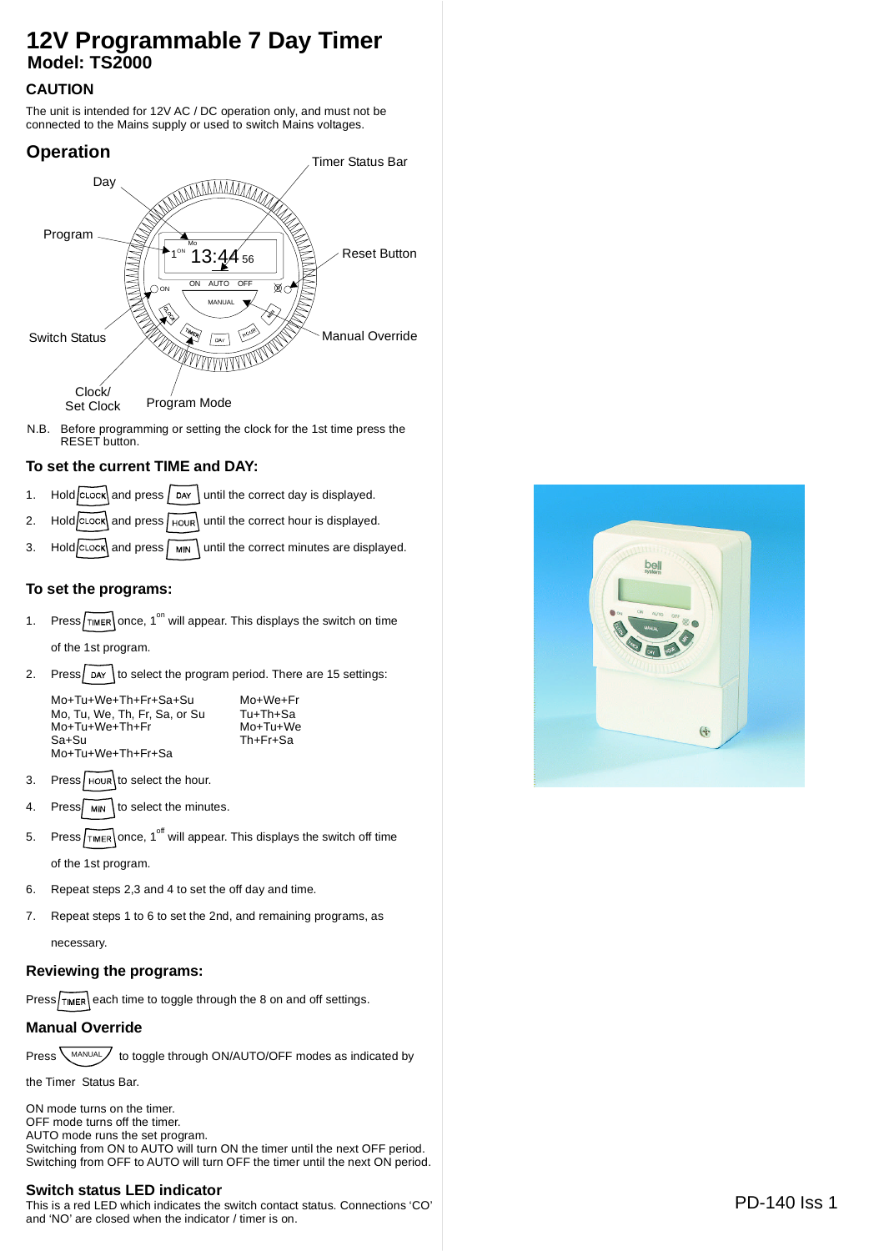# **12V Programmable 7 Day Timer Model: TS2000**

## **CAUTION**

The unit is intended for 12V AC / DC operation only, and must not be connected to the Mains supply or used to switch Mains voltages.



N.B. Before programming or setting the clock for the 1st time press the RESET button.

### **To set the current TIME and DAY:**

- 1. Hold  $\overline{C}$  and press  $\overline{D}$  pay until the correct day is displayed.
- 2. Hold  $|c\csc|$  and press  $|r\sin|$  until the correct hour is displayed.
- 3. Hold  $\overline{c}$  Lock and press  $\sqrt{mn}$  until the correct minutes are displayed.

#### **To set the programs:**

1. Press  $\sqrt{\text{m}}$  once, 1<sup>on</sup> will appear. This displays the switch on time

of the 1st program.

2. Press  $\log$  bay to select the program period. There are 15 settings:

Mo+Tu+We+Th+Fr+Sa+Su Mo, Tu, We, Th, Fr, Sa, or Su Tu+Th+Sa<br>Mo+Tu+We+Th+Fr Mo+Tu+We Mo+Tu+We+Th+Fr Sa+Su Th+Fr+Sa Mo+Tu+We+Th+Fr+Sa

Mo+We+Fr

- 3. Press  $H_{\text{HOLR}}$  to select the hour.
- 4. Press $\sqrt{MN}$  to select the minutes.
- 5. Press  $\sqrt{f_{\text{IMER}}}$  once, 1<sup>off</sup> will appear. This displays the switch off time of the 1st program.
- 6. Repeat steps 2,3 and 4 to set the off day and time.
- 7. Repeat steps 1 to 6 to set the 2nd, and remaining programs, as

necessary.

#### **Reviewing the programs:**

 $Press$  each time to toggle through the 8 on and off settings.

#### **Manual Override**

Press  $\text{MANUAL}$  to toggle through ON/AUTO/OFF modes as indicated by

the Timer Status Bar.

ON mode turns on the timer. OFF mode turns off the timer. AUTO mode runs the set program. Switching from ON to AUTO will turn ON the timer until the next OFF period. Switching from OFF to AUTO will turn OFF the timer until the next ON period.

#### **Switch status LED indicator**

This is a red LED which indicates the switch contact status. Connections 'CO' and 'NO' are closed when the indicator / timer is on.